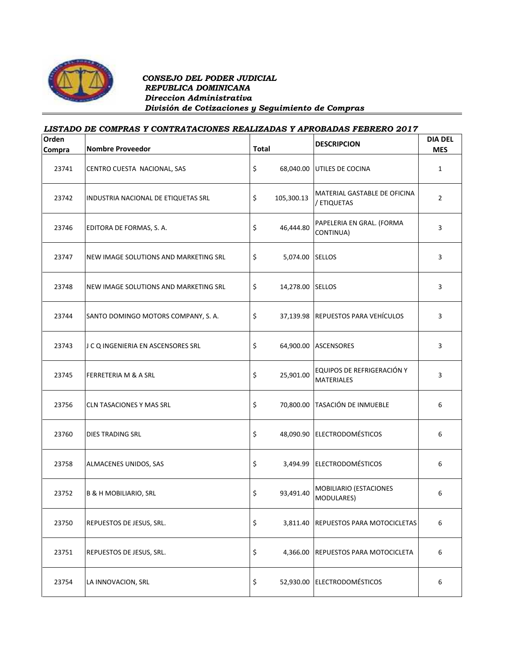

## *CONSEJO DEL PODER JUDICIAL REPUBLICA DOMINICANA Direccion Administrativa División de Cotizaciones y Seguimiento de Compras*

## *LISTADO DE COMPRAS Y CONTRATACIONES REALIZADAS Y APROBADAS FEBRERO 2017* **Orden Compra Nombre Proveedor Total DESCRIPCION DIA DEL MES** 23741 CENTRO CUESTA NACIONAL, SAS SANTA ESTA EN 1980.040.00 UTILES DE COCINA NATURE 1 23742 INDUSTRIA NACIONAL DE ETIQUETAS SRL  $\begin{vmatrix} 5 & 105,300.13 \end{vmatrix}$  (decreased)  $\begin{vmatrix} 1 & 0 & 0 \end{vmatrix}$  and  $\begin{vmatrix} 2 & 0 & 1 \end{vmatrix}$ / ETIQUETAS <sup>2</sup> 23746 EDITORA DE FORMAS, S. A.  $\begin{bmatrix} 1 & 0 & 0 \\ 0 & 46,444.80 \\ 0 & 0 & 46,444.80 \end{bmatrix}$  PAPELERIA EN GRAL. (FORMA PAPELENIA EN GRAL. (FORIVIA  $\begin{bmatrix} 3 \end{bmatrix}$ 23747 NEW IMAGE SOLUTIONS AND MARKETING SRL  $\begin{array}{|c|c|c|c|c|}\n\hline\n\text{S} & \text{S}_1 & \text{S}_2 & \text{S}_3 & \text{S}_4 & \text{S}_5 & \text{S}_5 & \text{S}_6 & \text{S}_6 & \text{S}_6 & \text{S}_6 & \text{S}_6 & \text{S}_6 & \text{S}_6 & \text{S}_6 & \text{S}_6 & \text{S}_6 & \text{S}_6 & \text{S}_6 & \text{S}_6 & \text{S}_6 & \text{S}_6 & \$ 23748 NEW IMAGE SOLUTIONS AND MARKETING SRL  $\begin{vmatrix} 5 & 14,278.00 \end{vmatrix}$  SELLOS 3 23744 SANTO DOMINGO MOTORS COMPANY, S. A.  $\begin{vmatrix} 5 & 37,139.98 \end{vmatrix}$  REPUESTOS PARA VEHÍCULOS  $\begin{vmatrix} 3 & 3 \end{vmatrix}$ 23743 J C Q INGENIERIA EN ASCENSORES SRL  $\begin{array}{|c|c|c|c|c|c|} \hline \text{S} & \text{64,900.00} & \text{ASCENSORES} \end{array}$  3 23745 FERRETERIA M & A SRL 25,901.00 EQUIPOS DE REFRIGERACIÓN Y MATERIALES 3 23756 CLN TASACIONES Y MAS SRL  $\begin{array}{ccc} \vert & \vert & \vert & \vert & \vert \end{array}$  70,800.00 TASACIÓN DE INMUEBLE  $\begin{array}{ccc} \vert & \vert & \vert & \vert & \vert \end{array}$ 23760 DIES TRADING SRL \$ 48,090.90 ELECTRODOMÉSTICOS 6 23758 ALMACENES UNIDOS, SAS  $\begin{vmatrix} 5 & 3,494.99 \end{vmatrix}$  ELECTRODOMÉSTICOS 6 23752 B & H MOBILIARIO, SRL SALL SALL STRAIGHT STAGES AND STRAIGHT STAGES BUT AND STRAIGHT STRAIGHT STRAIGHT S MODILIANO (LONCIONES 6 23750 REPUESTOS DE JESUS, SRL.  $\begin{matrix} 5 & 3,811.40 \\ 5 & 3,811.40 \end{matrix}$  REPUESTOS PARA MOTOCICLETAS 6 23751 REPUESTOS DE JESUS, SRL.  $\begin{array}{ccc} 8 & 4,366.00 & \text{REPUESTOS} & \text{PARA MOTOCICLETA} \end{array}$  6 23754 LA INNOVACION, SRL \$ 52,930.00 ELECTRODOMÉSTICOS 6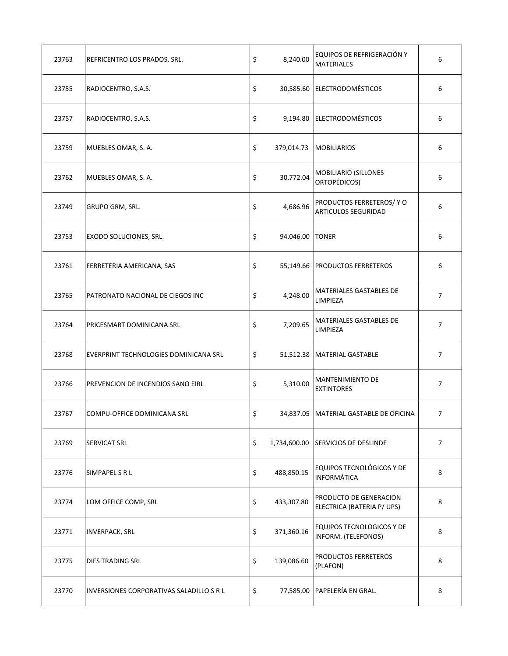| 23763 | REFRICENTRO LOS PRADOS, SRL.             | \$<br>8,240.00   | EQUIPOS DE REFRIGERACIÓN Y<br><b>MATERIALES</b>         | 6              |
|-------|------------------------------------------|------------------|---------------------------------------------------------|----------------|
| 23755 | RADIOCENTRO, S.A.S.                      | \$               | 30,585.60 ELECTRODOMÉSTICOS                             | 6              |
| 23757 | RADIOCENTRO, S.A.S.                      | \$               | 9,194.80 ELECTRODOMÉSTICOS                              | 6              |
| 23759 | MUEBLES OMAR, S. A.                      | \$<br>379,014.73 | <b>MOBILIARIOS</b>                                      | 6              |
| 23762 | MUEBLES OMAR, S. A.                      | \$<br>30,772.04  | <b>MOBILIARIO (SILLONES</b><br>ORTOPÉDICOS)             | 6              |
| 23749 | GRUPO GRM, SRL.                          | \$<br>4,686.96   | PRODUCTOS FERRETEROS/ Y O<br><b>ARTICULOS SEGURIDAD</b> | 6              |
| 23753 | EXODO SOLUCIONES, SRL.                   | \$<br>94,046.00  | <b>TONER</b>                                            | 6              |
| 23761 | FERRETERIA AMERICANA, SAS                | \$<br>55,149.66  | <b>PRODUCTOS FERRETEROS</b>                             | 6              |
| 23765 | PATRONATO NACIONAL DE CIEGOS INC         | \$<br>4,248.00   | <b>MATERIALES GASTABLES DE</b><br>LIMPIEZA              | 7              |
| 23764 | PRICESMART DOMINICANA SRL                | \$<br>7,209.65   | MATERIALES GASTABLES DE<br>LIMPIEZA                     | $\overline{7}$ |
| 23768 | EVERPRINT TECHNOLOGIES DOMINICANA SRL    | \$               | 51,512.38 MATERIAL GASTABLE                             | 7              |
| 23766 | PREVENCION DE INCENDIOS SANO EIRL        | \$<br>5,310.00   | <b>MANTENIMIENTO DE</b><br><b>EXTINTORES</b>            | $\overline{7}$ |
| 23767 | COMPU-OFFICE DOMINICANA SRL              | \$               | 34,837.05   MATERIAL GASTABLE DE OFICINA                | 7              |
| 23769 | SERVICAT SRL                             | \$               | 1,734,600.00 SERVICIOS DE DESLINDE                      | 7              |
| 23776 | SIMPAPEL S R L                           | \$<br>488,850.15 | EQUIPOS TECNOLÓGICOS Y DE<br><b>INFORMÁTICA</b>         | 8              |
| 23774 | LOM OFFICE COMP, SRL                     | \$<br>433,307.80 | PRODUCTO DE GENERACION<br>ELECTRICA (BATERIA P/ UPS)    | 8              |
| 23771 | <b>INVERPACK, SRL</b>                    | \$<br>371,360.16 | EQUIPOS TECNOLOGICOS Y DE<br>INFORM. (TELEFONOS)        | 8              |
| 23775 | <b>DIES TRADING SRL</b>                  | \$<br>139,086.60 | PRODUCTOS FERRETEROS<br>(PLAFON)                        | 8              |
| 23770 | INVERSIONES CORPORATIVAS SALADILLO S R L | \$               | 77,585.00 PAPELERÍA EN GRAL.                            | 8              |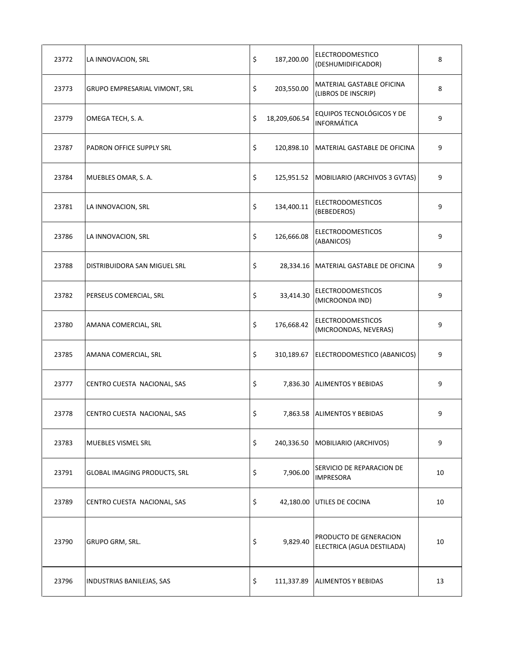| 23772 | LA INNOVACION, SRL                  | \$<br>187,200.00    | <b>ELECTRODOMESTICO</b><br>(DESHUMIDIFICADOR)        | 8  |
|-------|-------------------------------------|---------------------|------------------------------------------------------|----|
| 23773 | GRUPO EMPRESARIAL VIMONT, SRL       | \$<br>203,550.00    | MATERIAL GASTABLE OFICINA<br>(LIBROS DE INSCRIP)     | 8  |
| 23779 | OMEGA TECH, S. A.                   | \$<br>18,209,606.54 | EQUIPOS TECNOLÓGICOS Y DE<br>INFORMÁTICA             | 9  |
| 23787 | PADRON OFFICE SUPPLY SRL            | \$<br>120,898.10    | MATERIAL GASTABLE DE OFICINA                         | 9  |
| 23784 | MUEBLES OMAR, S. A.                 | \$                  | 125,951.52   MOBILIARIO (ARCHIVOS 3 GVTAS)           | 9  |
| 23781 | LA INNOVACION, SRL                  | \$<br>134,400.11    | <b>ELECTRODOMESTICOS</b><br>(BEBEDEROS)              | 9  |
| 23786 | LA INNOVACION, SRL                  | \$<br>126,666.08    | <b>ELECTRODOMESTICOS</b><br>(ABANICOS)               | 9  |
| 23788 | DISTRIBUIDORA SAN MIGUEL SRL        | \$                  | 28,334.16   MATERIAL GASTABLE DE OFICINA             | 9  |
| 23782 | PERSEUS COMERCIAL, SRL              | \$<br>33,414.30     | <b>ELECTRODOMESTICOS</b><br>(MICROONDA IND)          | 9  |
| 23780 | AMANA COMERCIAL, SRL                | \$<br>176,668.42    | <b>ELECTRODOMESTICOS</b><br>(MICROONDAS, NEVERAS)    | 9  |
| 23785 | AMANA COMERCIAL, SRL                | \$<br>310,189.67    | ELECTRODOMESTICO (ABANICOS)                          | 9  |
| 23777 | CENTRO CUESTA NACIONAL, SAS         | \$<br>7,836.30      | <b>ALIMENTOS Y BEBIDAS</b>                           | 9  |
| 23778 | CENTRO CUESTA NACIONAL, SAS         | \$                  | 7,863.58 ALIMENTOS Y BEBIDAS                         | 9  |
| 23783 | <b>MUEBLES VISMEL SRL</b>           | \$<br>240,336.50    | MOBILIARIO (ARCHIVOS)                                | 9  |
| 23791 | <b>GLOBAL IMAGING PRODUCTS, SRL</b> | \$<br>7,906.00      | SERVICIO DE REPARACION DE<br><b>IMPRESORA</b>        | 10 |
| 23789 | CENTRO CUESTA NACIONAL, SAS         | \$<br>42,180.00     | UTILES DE COCINA                                     | 10 |
| 23790 | GRUPO GRM, SRL.                     | \$<br>9,829.40      | PRODUCTO DE GENERACION<br>ELECTRICA (AGUA DESTILADA) | 10 |
| 23796 | INDUSTRIAS BANILEJAS, SAS           | \$<br>111,337.89    | <b>ALIMENTOS Y BEBIDAS</b>                           | 13 |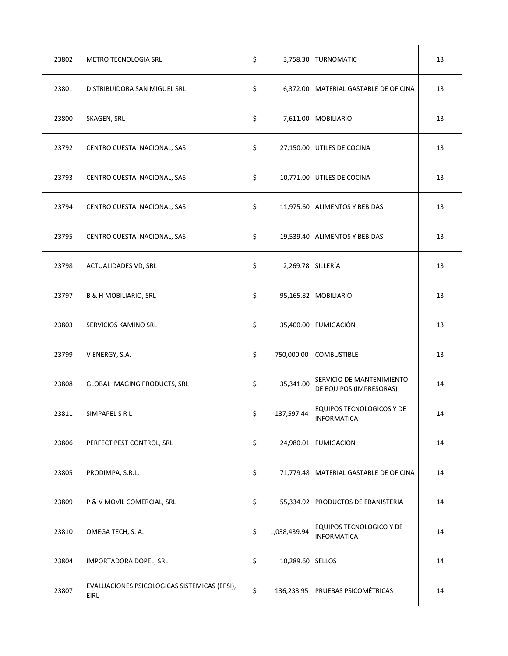| 23802 | METRO TECNOLOGIA SRL                                 | \$                      | 3,758.30 TURNOMATIC                                  | 13 |
|-------|------------------------------------------------------|-------------------------|------------------------------------------------------|----|
| 23801 | DISTRIBUIDORA SAN MIGUEL SRL                         | \$                      | 6,372.00 MATERIAL GASTABLE DE OFICINA                | 13 |
| 23800 | SKAGEN, SRL                                          | \$                      | 7,611.00 MOBILIARIO                                  | 13 |
| 23792 | CENTRO CUESTA NACIONAL, SAS                          | \$                      | 27,150.00 UTILES DE COCINA                           | 13 |
| 23793 | CENTRO CUESTA NACIONAL, SAS                          | \$                      | 10,771.00 UTILES DE COCINA                           | 13 |
| 23794 | CENTRO CUESTA NACIONAL, SAS                          | \$                      | 11,975.60 ALIMENTOS Y BEBIDAS                        | 13 |
| 23795 | CENTRO CUESTA NACIONAL, SAS                          | \$                      | 19,539.40 ALIMENTOS Y BEBIDAS                        | 13 |
| 23798 | <b>ACTUALIDADES VD, SRL</b>                          | \$<br>2,269.78 SILLERÍA |                                                      | 13 |
| 23797 | <b>B &amp; H MOBILIARIO, SRL</b>                     | \$                      | 95,165.82 MOBILIARIO                                 | 13 |
| 23803 | SERVICIOS KAMINO SRL                                 | \$<br>35,400.00         | <b>FUMIGACIÓN</b>                                    | 13 |
| 23799 | V ENERGY, S.A.                                       | \$<br>750,000.00        | <b>COMBUSTIBLE</b>                                   | 13 |
| 23808 | <b>GLOBAL IMAGING PRODUCTS, SRL</b>                  | \$<br>35,341.00         | SERVICIO DE MANTENIMIENTO<br>DE EQUIPOS (IMPRESORAS) | 14 |
| 23811 | SIMPAPEL S R L                                       | \$<br>137,597.44        | <b>EQUIPOS TECNOLOGICOS Y DE</b><br>INFORMATICA      | 14 |
| 23806 | PERFECT PEST CONTROL, SRL                            | \$                      | 24,980.01 FUMIGACIÓN                                 | 14 |
| 23805 | PRODIMPA, S.R.L.                                     | \$                      | 71,779.48   MATERIAL GASTABLE DE OFICINA             | 14 |
| 23809 | P & V MOVIL COMERCIAL, SRL                           | \$                      | 55,334.92 PRODUCTOS DE EBANISTERIA                   | 14 |
| 23810 | OMEGA TECH, S. A.                                    | \$<br>1,038,439.94      | EQUIPOS TECNOLOGICO Y DE<br><b>INFORMATICA</b>       | 14 |
| 23804 | IMPORTADORA DOPEL, SRL.                              | \$<br>10,289.60 SELLOS  |                                                      | 14 |
| 23807 | EVALUACIONES PSICOLOGICAS SISTEMICAS (EPSI),<br>EIRL | \$                      | 136,233.95 PRUEBAS PSICOMÉTRICAS                     | 14 |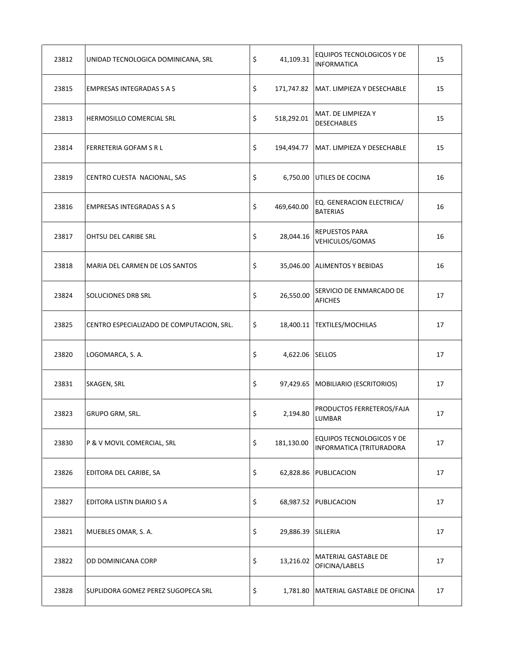| 23812 | UNIDAD TECNOLOGICA DOMINICANA, SRL        | \$<br>41,109.31          | <b>EQUIPOS TECNOLOGICOS Y DE</b><br><b>INFORMATICA</b>       | 15 |
|-------|-------------------------------------------|--------------------------|--------------------------------------------------------------|----|
| 23815 | <b>EMPRESAS INTEGRADAS S A S</b>          | \$                       | 171,747.82   MAT. LIMPIEZA Y DESECHABLE                      | 15 |
| 23813 | HERMOSILLO COMERCIAL SRL                  | \$<br>518,292.01         | MAT. DE LIMPIEZA Y<br><b>DESECHABLES</b>                     | 15 |
| 23814 | FERRETERIA GOFAM S R L                    | \$<br>194,494.77         | MAT. LIMPIEZA Y DESECHABLE                                   | 15 |
| 23819 | CENTRO CUESTA NACIONAL, SAS               | \$<br>6,750.00           | UTILES DE COCINA                                             | 16 |
| 23816 | EMPRESAS INTEGRADAS S A S                 | \$<br>469,640.00         | EQ. GENERACION ELECTRICA/<br><b>BATERIAS</b>                 | 16 |
| 23817 | OHTSU DEL CARIBE SRL                      | \$<br>28,044.16          | REPUESTOS PARA<br>VEHICULOS/GOMAS                            | 16 |
| 23818 | MARIA DEL CARMEN DE LOS SANTOS            | \$                       | 35,046.00 ALIMENTOS Y BEBIDAS                                | 16 |
| 23824 | SOLUCIONES DRB SRL                        | \$<br>26,550.00          | SERVICIO DE ENMARCADO DE<br><b>AFICHES</b>                   | 17 |
| 23825 | CENTRO ESPECIALIZADO DE COMPUTACION, SRL. | \$                       | 18,400.11 TEXTILES/MOCHILAS                                  | 17 |
| 23820 | LOGOMARCA, S. A.                          | \$<br>4,622.06 SELLOS    |                                                              | 17 |
| 23831 | SKAGEN, SRL                               | \$                       | 97,429.65   MOBILIARIO (ESCRITORIOS)                         | 17 |
| 23823 | GRUPO GRM, SRL.                           | \$<br>2,194.80           | PRODUCTOS FERRETEROS/FAJA<br>LUMBAR                          | 17 |
| 23830 | P & V MOVIL COMERCIAL, SRL                | \$<br>181,130.00         | <b>EQUIPOS TECNOLOGICOS Y DE</b><br>INFORMATICA (TRITURADORA | 17 |
| 23826 | EDITORA DEL CARIBE, SA                    | \$                       | 62,828.86 PUBLICACION                                        | 17 |
| 23827 | EDITORA LISTIN DIARIO S A                 | \$                       | 68,987.52 PUBLICACION                                        | 17 |
| 23821 | MUEBLES OMAR, S. A.                       | \$<br>29,886.39 SILLERIA |                                                              | 17 |
| 23822 | OD DOMINICANA CORP                        | \$<br>13,216.02          | MATERIAL GASTABLE DE<br>OFICINA/LABELS                       | 17 |
| 23828 | SUPLIDORA GOMEZ PEREZ SUGOPECA SRL        | \$                       | 1,781.80   MATERIAL GASTABLE DE OFICINA                      | 17 |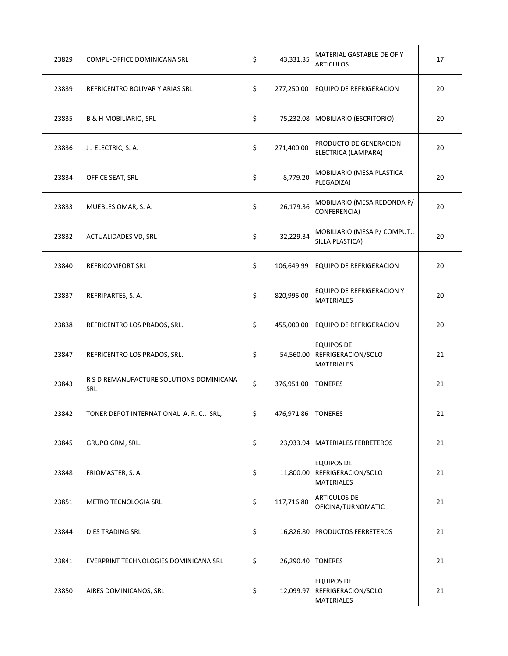| 23829 | COMPU-OFFICE DOMINICANA SRL                            | \$<br>43,331.35            | MATERIAL GASTABLE DE OF Y<br><b>ARTICULOS</b>                | 17 |
|-------|--------------------------------------------------------|----------------------------|--------------------------------------------------------------|----|
| 23839 | REFRICENTRO BOLIVAR Y ARIAS SRL                        | \$<br>277,250.00           | EQUIPO DE REFRIGERACION                                      | 20 |
| 23835 | <b>B &amp; H MOBILIARIO, SRL</b>                       | \$                         | 75,232.08 MOBILIARIO (ESCRITORIO)                            | 20 |
| 23836 | JJ ELECTRIC, S. A.                                     | \$<br>271,400.00           | PRODUCTO DE GENERACION<br>ELECTRICA (LAMPARA)                | 20 |
| 23834 | OFFICE SEAT, SRL                                       | \$<br>8,779.20             | MOBILIARIO (MESA PLASTICA<br>PLEGADIZA)                      | 20 |
| 23833 | MUEBLES OMAR, S. A.                                    | \$<br>26,179.36            | MOBILIARIO (MESA REDONDA P/<br>CONFERENCIA)                  | 20 |
| 23832 | <b>ACTUALIDADES VD, SRL</b>                            | \$<br>32,229.34            | MOBILIARIO (MESA P/ COMPUT.,<br>SILLA PLASTICA)              | 20 |
| 23840 | <b>REFRICOMFORT SRL</b>                                | \$<br>106,649.99           | <b>EQUIPO DE REFRIGERACION</b>                               | 20 |
| 23837 | REFRIPARTES, S. A.                                     | \$<br>820,995.00           | EQUIPO DE REFRIGERACION Y<br><b>MATERIALES</b>               | 20 |
| 23838 | REFRICENTRO LOS PRADOS, SRL.                           | \$<br>455,000.00           | <b>EQUIPO DE REFRIGERACION</b>                               | 20 |
| 23847 | REFRICENTRO LOS PRADOS, SRL.                           | \$<br>54,560.00            | <b>EQUIPOS DE</b><br>REFRIGERACION/SOLO<br><b>MATERIALES</b> | 21 |
| 23843 | R S D REMANUFACTURE SOLUTIONS DOMINICANA<br><b>SRL</b> | \$<br>376,951.00           | <b>TONERES</b>                                               | 21 |
| 23842 | TONER DEPOT INTERNATIONAL A. R. C., SRL,               | \$<br>476,971.86   TONERES |                                                              | 21 |
| 23845 | GRUPO GRM, SRL.                                        | \$                         | 23,933.94   MATERIALES FERRETEROS                            | 21 |
| 23848 | FRIOMASTER, S. A.                                      | \$<br>11,800.00            | <b>EQUIPOS DE</b><br>REFRIGERACION/SOLO<br><b>MATERIALES</b> | 21 |
| 23851 | <b>METRO TECNOLOGIA SRL</b>                            | \$<br>117,716.80           | <b>ARTICULOS DE</b><br>OFICINA/TURNOMATIC                    | 21 |
| 23844 | DIES TRADING SRL                                       | \$                         | 16,826.80 PRODUCTOS FERRETEROS                               | 21 |
| 23841 | EVERPRINT TECHNOLOGIES DOMINICANA SRL                  | \$<br>26,290.40   TONERES  |                                                              | 21 |
| 23850 | AIRES DOMINICANOS, SRL                                 | \$<br>12,099.97            | <b>EQUIPOS DE</b><br>REFRIGERACION/SOLO<br><b>MATERIALES</b> | 21 |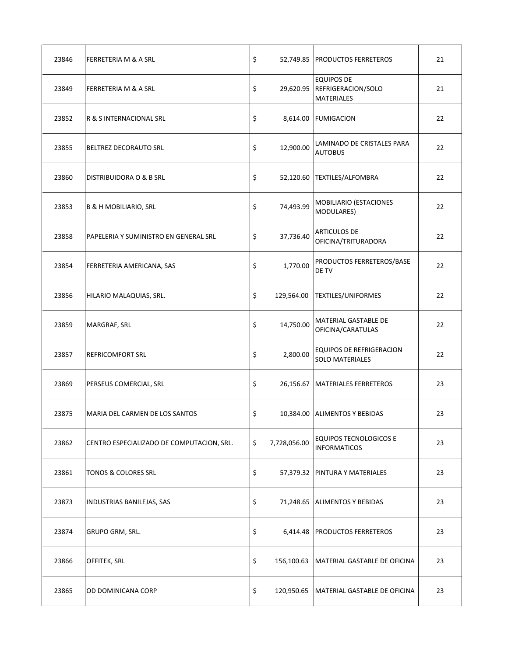| 23846 | FERRETERIA M & A SRL                      | \$                 | 52,749.85 PRODUCTOS FERRETEROS                               | 21 |
|-------|-------------------------------------------|--------------------|--------------------------------------------------------------|----|
| 23849 | FERRETERIA M & A SRL                      | \$<br>29,620.95    | <b>EQUIPOS DE</b><br>REFRIGERACION/SOLO<br><b>MATERIALES</b> | 21 |
| 23852 | R & S INTERNACIONAL SRL                   | \$<br>8,614.00     | <b>FUMIGACION</b>                                            | 22 |
| 23855 | BELTREZ DECORAUTO SRL                     | \$<br>12,900.00    | LAMINADO DE CRISTALES PARA<br><b>AUTOBUS</b>                 | 22 |
| 23860 | DISTRIBUIDORA O & B SRL                   | \$                 | 52,120.60 TEXTILES/ALFOMBRA                                  | 22 |
| 23853 | <b>B &amp; H MOBILIARIO, SRL</b>          | \$<br>74,493.99    | MOBILIARIO (ESTACIONES<br>MODULARES)                         | 22 |
| 23858 | PAPELERIA Y SUMINISTRO EN GENERAL SRL     | \$<br>37,736.40    | <b>ARTICULOS DE</b><br>OFICINA/TRITURADORA                   | 22 |
| 23854 | FERRETERIA AMERICANA, SAS                 | \$<br>1,770.00     | PRODUCTOS FERRETEROS/BASE<br>DE TV                           | 22 |
| 23856 | HILARIO MALAQUIAS, SRL.                   | \$<br>129,564.00   | <b>TEXTILES/UNIFORMES</b>                                    | 22 |
| 23859 | MARGRAF, SRL                              | \$<br>14,750.00    | MATERIAL GASTABLE DE<br>OFICINA/CARATULAS                    | 22 |
| 23857 | <b>REFRICOMFORT SRL</b>                   | \$<br>2,800.00     | <b>EQUIPOS DE REFRIGERACION</b><br><b>SOLO MATERIALES</b>    | 22 |
| 23869 | PERSEUS COMERCIAL, SRL                    | \$<br>26,156.67    | MATERIALES FERRETEROS                                        | 23 |
| 23875 | MARIA DEL CARMEN DE LOS SANTOS            | \$                 | 10,384.00 ALIMENTOS Y BEBIDAS                                | 23 |
| 23862 | CENTRO ESPECIALIZADO DE COMPUTACION, SRL. | \$<br>7,728,056.00 | EQUIPOS TECNOLOGICOS E<br><b>INFORMATICOS</b>                | 23 |
| 23861 | TONOS & COLORES SRL                       | \$                 | 57,379.32 PINTURA Y MATERIALES                               | 23 |
| 23873 | INDUSTRIAS BANILEJAS, SAS                 | \$                 | 71,248.65 ALIMENTOS Y BEBIDAS                                | 23 |
| 23874 | <b>GRUPO GRM, SRL.</b>                    | \$                 | 6,414.48 PRODUCTOS FERRETEROS                                | 23 |
| 23866 | OFFITEK, SRL                              | \$<br>156,100.63   | MATERIAL GASTABLE DE OFICINA                                 | 23 |
| 23865 | OD DOMINICANA CORP                        | \$<br>120,950.65   | MATERIAL GASTABLE DE OFICINA                                 | 23 |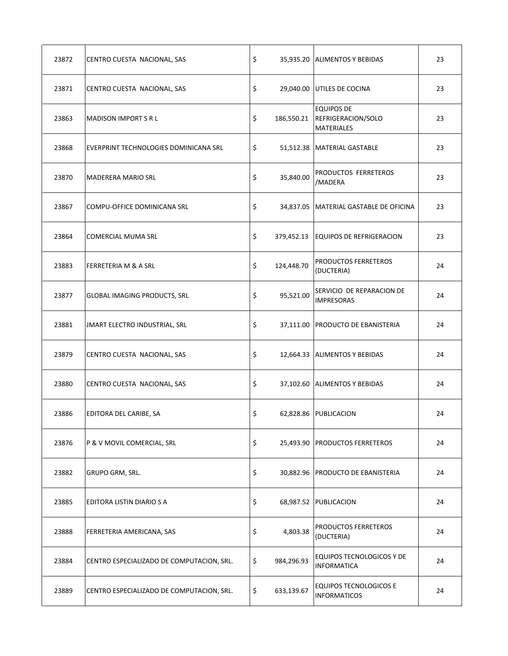| 23872 | CENTRO CUESTA NACIONAL, SAS               | \$               | 35,935.20 ALIMENTOS Y BEBIDAS                                | 23 |
|-------|-------------------------------------------|------------------|--------------------------------------------------------------|----|
| 23871 | CENTRO CUESTA NACIONAL, SAS               | \$               | 29,040.00 UTILES DE COCINA                                   | 23 |
| 23863 | <b>MADISON IMPORT S R L</b>               | \$<br>186,550.21 | <b>EQUIPOS DE</b><br>REFRIGERACION/SOLO<br><b>MATERIALES</b> | 23 |
| 23868 | EVERPRINT TECHNOLOGIES DOMINICANA SRL     | \$               | 51,512.38   MATERIAL GASTABLE                                | 23 |
| 23870 | <b>MADERERA MARIO SRL</b>                 | \$<br>35,840.00  | PRODUCTOS FERRETEROS<br>/MADERA                              | 23 |
| 23867 | COMPU-OFFICE DOMINICANA SRL               | \$               | 34,837.05 MATERIAL GASTABLE DE OFICINA                       | 23 |
| 23864 | <b>COMERCIAL MUMA SRL</b>                 | \$<br>379,452.13 | <b>EQUIPOS DE REFRIGERACION</b>                              | 23 |
| 23883 | FERRETERIA M & A SRL                      | \$<br>124,448.70 | PRODUCTOS FERRETEROS<br>(DUCTERIA)                           | 24 |
| 23877 | <b>GLOBAL IMAGING PRODUCTS, SRL</b>       | \$<br>95,521.00  | SERVICIO DE REPARACION DE<br><b>IMPRESORAS</b>               | 24 |
| 23881 | JMART ELECTRO INDUSTRIAL, SRL             | \$               | 37,111.00 PRODUCTO DE EBANISTERIA                            | 24 |
| 23879 | CENTRO CUESTA NACIONAL, SAS               | \$               | 12,664.33 ALIMENTOS Y BEBIDAS                                | 24 |
| 23880 | CENTRO CUESTA NACIONAL, SAS               | \$               | 37,102.60 ALIMENTOS Y BEBIDAS                                | 24 |
| 23886 | EDITORA DEL CARIBE, SA                    | \$               | 62,828.86 PUBLICACION                                        | 24 |
| 23876 | P & V MOVIL COMERCIAL, SRL                | \$               | 25,493.90 PRODUCTOS FERRETEROS                               | 24 |
| 23882 | GRUPO GRM, SRL.                           | \$               | 30,882.96 PRODUCTO DE EBANISTERIA                            | 24 |
| 23885 | EDITORA LISTIN DIARIO S A                 | \$               | 68,987.52 PUBLICACION                                        | 24 |
| 23888 | FERRETERIA AMERICANA, SAS                 | \$<br>4,803.38   | PRODUCTOS FERRETEROS<br>(DUCTERIA)                           | 24 |
| 23884 | CENTRO ESPECIALIZADO DE COMPUTACION, SRL. | \$<br>984,296.93 | EQUIPOS TECNOLOGICOS Y DE<br><b>INFORMATICA</b>              | 24 |
| 23889 | CENTRO ESPECIALIZADO DE COMPUTACION, SRL. | \$<br>633,139.67 | <b>EQUIPOS TECNOLOGICOS E</b><br><b>INFORMATICOS</b>         | 24 |